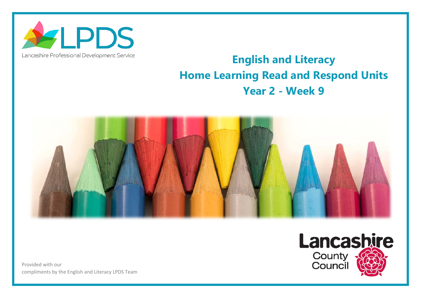

## Lancashire Professional Development Service

## **English and Literacy Home Learning Read and Respond Units Year 2 - Week 9**



Provided with our compliments by the English and Literacy LPDS Team

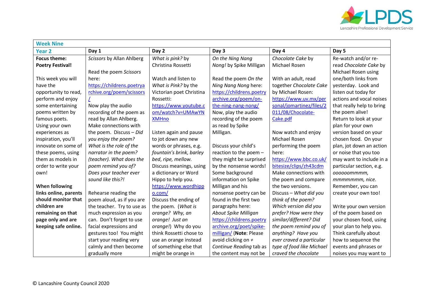

| <b>Week Nine</b>        |                            |                          |                          |                           |                           |  |
|-------------------------|----------------------------|--------------------------|--------------------------|---------------------------|---------------------------|--|
| <b>Year 2</b>           | Day 1                      | Day 2                    | Day 3                    | Day 4                     | Day 5                     |  |
| <b>Focus theme:</b>     | Scissors by Allan Ahlberg  | What is pink? by         | On the Ning Nang         | Chocolate Cake by         | Re-watch and/or re-       |  |
| <b>Poetry Festival!</b> |                            | Christina Rossetti       | Nong! by Spike Milligan  | Michael Rosen             | read Chocolate Cake by    |  |
|                         | Read the poem Scissors     |                          |                          |                           | Michael Rosen using       |  |
| This week you will      | here:                      | Watch and listen to      | Read the poem On the     | With an adult, read       | one/both links from       |  |
| have the                | https://childrens.poetrya  | What is Pink? by the     | Ning Nang Nong here:     | together Chocolate Cake   | yesterday. Look and       |  |
| opportunity to read,    | rchive.org/poem/scissors   | Victorian poet Christina | https://childrens.poetry | by Michael Rosen:         | listen out today for      |  |
| perform and enjoy       |                            | Rossetti:                | archive.org/poem/on-     | https://www.uv.mx/per     | actions and vocal noises  |  |
| some entertaining       | Now play the audio         | https://www.youtube.c    | the-ning-nang-nong/      | sonal/jomartinez/files/2  | that really help to bring |  |
| poems written by        | recording of the poem as   | om/watch?v=UMAwYN        | Now, play the audio      | 011/08/Chocolate-         | the poem alive!           |  |
| famous poets.           | read by Allan Ahlberg.     | <b>XMHno</b>             | recording of the poem    | Cake.pdf                  | Return to look at your    |  |
| Using your own          | Make connections with      |                          | as read by Spike         |                           | plan for your own         |  |
| experiences as          | the poem. Discuss - Did    | Listen again and pause   | Milligan.                | Now watch and enjoy       | version based on your     |  |
| inspiration, you'll     | you enjoy the poem?        | to jot down any new      |                          | Michael Rosen             | chosen food. On your      |  |
| innovate on some of     | What is the role of the    | words or phrases, e.g.   | Discuss your child's     | performing the poem       | plan, jot down an action  |  |
| these poems, using      | narrator in the poem?      | fountain's brink, barley | reaction to the poem -   | here:                     | or noise that you too     |  |
| them as models in       | (teacher). What does the   | bed, ripe, mellow.       | they might be surprised  | https://www.bbc.co.uk/    | may want to include in a  |  |
| order to write your     | poem remind you of?        | Discuss meanings, using  | by the nonsense words!   | bitesize/clips/zh43cdm    | particular section, e.g.  |  |
| own!                    | Does your teacher ever     | a dictionary or Word     | Some background          | Make connections with     | 000000mmmm,               |  |
|                         | sound like this?!          | Hippo to help you.       | information on Spike     | the poem and compare      | mmmmmmm, nice.            |  |
| When following          |                            | https://www.wordhipp     | Milligan and his         | the two versions.         | Remember, you can         |  |
| links online, parents   | Rehearse reading the       | o.com/                   | nonsense poetry can be   | Discuss - What did you    | create your own too!      |  |
| should monitor that     | poem aloud, as if you are  | Discuss the ending of    | found in the first two   | think of the poem?        |                           |  |
| children are            | the teacher. Try to use as | the poem. (What is       | paragraphs here:         | Which version did you     | Write your own version    |  |
| remaining on that       | much expression as you     | orange? Why, an          | About Spike Milligan     | prefer? How were they     | of the poem based on      |  |
| page only and are       | can. Don't forget to use   | orange! Just an          | https://childrens.poetry | similar/different? Did    | your chosen food, using   |  |
| keeping safe online.    | facial expressions and     | orange!) Why do you      | archive.org/poet/spike-  | the poem remind you of    | your plan to help you.    |  |
|                         | gestures too! You might    | think Rossetti chose to  | milligan/ (Note: Please  | anything? Have you        | Think carefully about     |  |
|                         | start your reading very    | use an orange instead    | avoid clicking on +      | ever craved a particular  | how to sequence the       |  |
|                         | calmly and then become     | of something else that   | Continue Reading tab as  | type of food like Michael | events and phrases or     |  |
|                         | gradually more             | might be orange in       | the content may not be   | craved the chocolate      | noises you may want to    |  |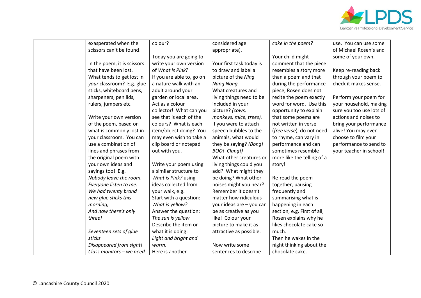

| exasperated when the        | colour?                   | considered age           | cake in the poem?           | use. You can use some    |
|-----------------------------|---------------------------|--------------------------|-----------------------------|--------------------------|
| scissors can't be found!    |                           | appropriate).            |                             | of Michael Rosen's and   |
|                             | Today you are going to    |                          | Your child might            | some of your own.        |
| In the poem, it is scissors | write your own version    | Your first task today is | comment that the piece      |                          |
| that have been lost.        | of What is Pink?          | to draw and label a      | resembles a story more      | Keep re-reading back     |
| What tends to get lost in   | If you are able to, go on | picture of the Ning      | than a poem and that        | through your poem to     |
| your classroom? E.g. glue   | a nature walk with an     | Nang Nong.               | during the performance      | check it makes sense.    |
| sticks, whiteboard pens,    | adult around your         | What creatures and       | piece, Rosen does not       |                          |
| sharpeners, pen lids,       | garden or local area.     | living things need to be | recite the poem exactly     | Perform your poem for    |
| rulers, jumpers etc.        | Act as a colour           | included in your         | word for word. Use this     | your household, making   |
|                             | collector! What can you   | picture? (cows,          | opportunity to explain      | sure you too use lots of |
| Write your own version      | see that is each of the   | monkeys, mice, trees).   | that some poems are         | actions and noises to    |
| of the poem, based on       | colours? What is each     | If you were to attach    | not written in verse        | bring your performance   |
| what is commonly lost in    | item/object doing? You    | speech bubbles to the    | (free verse), do not need   | alive! You may even      |
| your classroom. You can     | may even wish to take a   | animals, what would      | to rhyme, can vary in       | choose to film your      |
| use a combination of        | clip board or notepad     | they be saying? (Bong!   | performance and can         | performance to send to   |
| lines and phrases from      | out with you.             | BOO! Clang!)             | sometimes resemble          | your teacher in school!  |
| the original poem with      |                           | What other creatures or  | more like the telling of a  |                          |
| your own ideas and          | Write your poem using     | living things could you  | story!                      |                          |
| sayings too! E.g.           | a similar structure to    | add? What might they     |                             |                          |
| Nobody leave the room.      | What is Pink? using       | be doing? What other     | Re-read the poem            |                          |
| Everyone listen to me.      | ideas collected from      | noises might you hear?   | together, pausing           |                          |
| We had twenty brand         | your walk, e.g.           | Remember it doesn't      | frequently and              |                          |
| new glue sticks this        | Start with a question:    | matter how ridiculous    | summarising what is         |                          |
| morning,                    | What is yellow?           | your ideas are - you can | happening in each           |                          |
| And now there's only        | Answer the question:      | be as creative as you    | section, e.g. First of all, |                          |
| three!                      | The sun is yellow         | like! Colour your        | Rosen explains why he       |                          |
|                             | Describe the item or      | picture to make it as    | likes chocolate cake so     |                          |
| Seventeen sets of glue      | what it is doing:         | attractive as possible.  | much.                       |                          |
| sticks                      | Light and bright and      |                          | Then he wakes in the        |                          |
| Disappeared from sight!     | warm.                     | Now write some           | night thinking about the    |                          |
| Class monitors - we need    | Here is another           | sentences to describe    | chocolate cake.             |                          |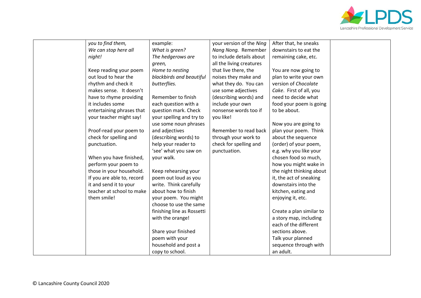

| you to find them,          | example:                   | your version of the Ning | After that, he sneaks    |  |
|----------------------------|----------------------------|--------------------------|--------------------------|--|
| We can stop here all       | What is green?             | Nang Nong. Remember      | downstairs to eat the    |  |
| night!                     | The hedgerows are          | to include details about | remaining cake, etc.     |  |
|                            | green,                     | all the living creatures |                          |  |
| Keep reading your poem     | Home to nesting            | that live there, the     | You are now going to     |  |
| out loud to hear the       | blackbirds and beautiful   | noises they make and     | plan to write your own   |  |
| rhythm and check it        | butterflies.               | what they do. You can    | version of Chocolate     |  |
| makes sense. It doesn't    |                            | use some adjectives      | Cake. First of all, you  |  |
| have to rhyme providing    | Remember to finish         | (describing words) and   | need to decide what      |  |
| it includes some           | each question with a       | include your own         | food your poem is going  |  |
| entertaining phrases that  | question mark. Check       | nonsense words too if    | to be about.             |  |
| your teacher might say!    | your spelling and try to   | you like!                |                          |  |
|                            | use some noun phrases      |                          | Now you are going to     |  |
| Proof-read your poem to    | and adjectives             | Remember to read back    | plan your poem. Think    |  |
| check for spelling and     | (describing words) to      | through your work to     | about the sequence       |  |
| punctuation.               | help your reader to        | check for spelling and   | (order) of your poem,    |  |
|                            | 'see' what you saw on      | punctuation.             | e.g. why you like your   |  |
| When you have finished,    | your walk.                 |                          | chosen food so much,     |  |
| perform your poem to       |                            |                          | how you might wake in    |  |
| those in your household.   | Keep rehearsing your       |                          | the night thinking about |  |
| If you are able to, record | poem out loud as you       |                          | it, the act of sneaking  |  |
| it and send it to your     | write. Think carefully     |                          | downstairs into the      |  |
| teacher at school to make  | about how to finish        |                          | kitchen, eating and      |  |
| them smile!                | your poem. You might       |                          | enjoying it, etc.        |  |
|                            | choose to use the same     |                          |                          |  |
|                            | finishing line as Rossetti |                          | Create a plan similar to |  |
|                            | with the orange!           |                          | a story map, including   |  |
|                            |                            |                          | each of the different    |  |
|                            | Share your finished        |                          | sections above.          |  |
|                            | poem with your             |                          | Talk your planned        |  |
|                            | household and post a       |                          | sequence through with    |  |
|                            | copy to school.            |                          | an adult.                |  |